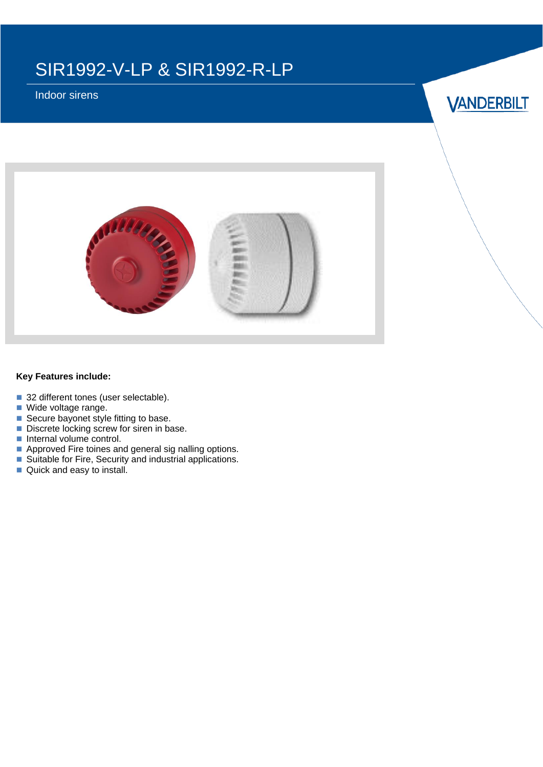## SIR1992-V-LP & SIR1992-R-LP

Indoor sirens

**VANDERBILT** 



### **Key Features include:**

- 32 different tones (user selectable).
- Wide voltage range.
- Secure bayonet style fitting to base.
- Discrete locking screw for siren in base.
- Internal volume control.
- Approved Fire toines and general sig nalling options.
- Suitable for Fire, Security and industrial applications.
- Quick and easy to install.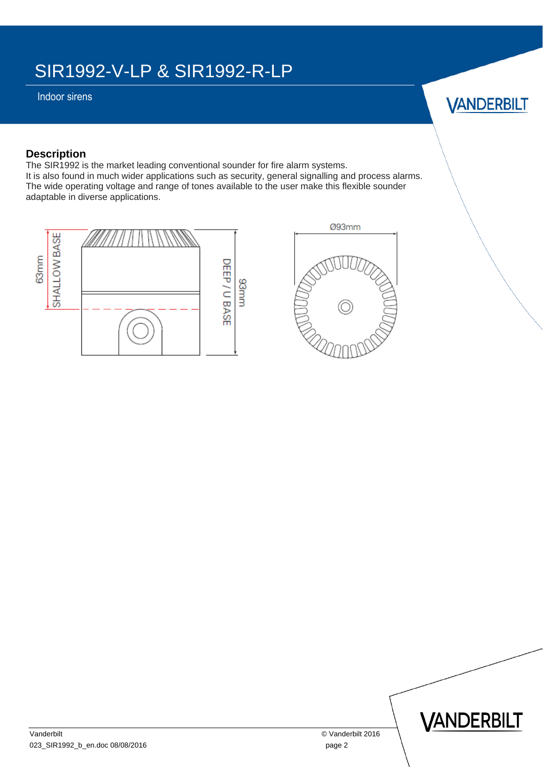# SIR1992-V-LP & SIR1992-R-LP

Indoor sirens



## **Description**

The SIR1992 is the market leading conventional sounder for fire alarm systems. It is also found in much wider applications such as security, general signalling and process alarms. The wide operating voltage and range of tones available to the user make this flexible sounder adaptable in diverse applications.